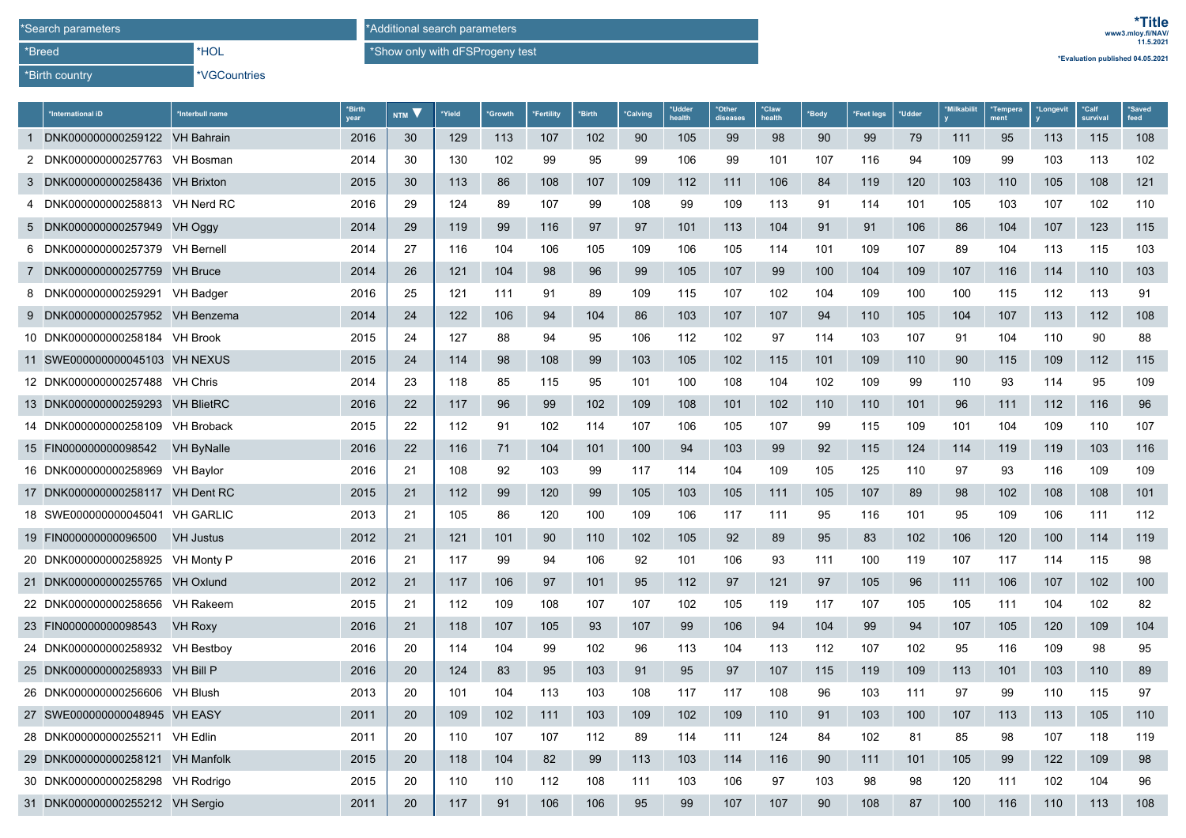\*Birth country

\*Breed

\*VGCountries

\*HOL

**\*Evaluation published 04.05.2021**

\*Show only with dFSProgeny test

| *International iD                | Interbull name    | *Birth<br>year | NTM V | Yield | <b>'Growth</b> | <b>Fertility</b> | *Birth | *Calving | *Udder<br>health | *Other<br>diseases | *Claw<br>health | *Body | *Feet legs | *Udder | *Milkabilit | *Tempera<br>ment | *Longevit | *Calf<br>survival | <i><b>Saved</b></i><br>feed |
|----------------------------------|-------------------|----------------|-------|-------|----------------|------------------|--------|----------|------------------|--------------------|-----------------|-------|------------|--------|-------------|------------------|-----------|-------------------|-----------------------------|
| 1 DNK000000000259122 VH Bahrain  |                   | 2016           | 30    | 129   | 113            | 107              | 102    | 90       | 105              | 99                 | 98              | 90    | 99         | 79     | 111         | 95               | 113       | 115               | 108                         |
| 2 DNK000000000257763 VH Bosman   |                   | 2014           | 30    | 130   | 102            | 99               | 95     | 99       | 106              | 99                 | 101             | 107   | 116        | 94     | 109         | 99               | 103       | 113               | 102                         |
| 3 DNK000000000258436 VH Brixton  |                   | 2015           | 30    | 113   | 86             | 108              | 107    | 109      | 112              | 111                | 106             | 84    | 119        | 120    | 103         | 110              | 105       | 108               | 121                         |
| 4 DNK000000000258813 VH Nerd RC  |                   | 2016           | 29    | 124   | 89             | 107              | 99     | 108      | 99               | 109                | 113             | 91    | 114        | 101    | 105         | 103              | 107       | 102               | 110                         |
| 5 DNK000000000257949 VH Oggy     |                   | 2014           | 29    | 119   | 99             | 116              | 97     | 97       | 101              | 113                | 104             | 91    | 91         | 106    | 86          | 104              | 107       | 123               | 115                         |
| 6 DNK000000000257379 VH Bernell  |                   | 2014           | 27    | 116   | 104            | 106              | 105    | 109      | 106              | 105                | 114             | 101   | 109        | 107    | 89          | 104              | 113       | 115               | 103                         |
| 7 DNK000000000257759 VH Bruce    |                   | 2014           | 26    | 121   | 104            | 98               | 96     | 99       | 105              | 107                | 99              | 100   | 104        | 109    | 107         | 116              | 114       | 110               | 103                         |
| 8 DNK000000000259291 VH Badger   |                   | 2016           | 25    | 121   | 111            | 91               | 89     | 109      | 115              | 107                | 102             | 104   | 109        | 100    | 100         | 115              | 112       | 113               | 91                          |
| 9 DNK000000000257952 VH Benzema  |                   | 2014           | 24    | 122   | 106            | 94               | 104    | 86       | 103              | 107                | 107             | 94    | 110        | 105    | 104         | 107              | 113       | 112               | 108                         |
| 10 DNK000000000258184 VH Brook   |                   | 2015           | 24    | 127   | 88             | 94               | 95     | 106      | 112              | 102                | 97              | 114   | 103        | 107    | 91          | 104              | 110       | 90                | 88                          |
| 11 SWE000000000045103 VH NEXUS   |                   | 2015           | 24    | 114   | 98             | 108              | 99     | 103      | 105              | 102                | 115             | 101   | 109        | 110    | 90          | 115              | 109       | 112               | 115                         |
| 12 DNK000000000257488 VH Chris   |                   | 2014           | 23    | 118   | 85             | 115              | 95     | 101      | 100              | 108                | 104             | 102   | 109        | 99     | 110         | 93               | 114       | 95                | 109                         |
| 13 DNK000000000259293 VH BlietRC |                   | 2016           | 22    | 117   | 96             | 99               | 102    | 109      | 108              | 101                | 102             | 110   | 110        | 101    | 96          | 111              | 112       | 116               | 96                          |
| 14 DNK000000000258109 VH Broback |                   | 2015           | 22    | 112   | 91             | 102              | 114    | 107      | 106              | 105                | 107             | 99    | 115        | 109    | 101         | 104              | 109       | 110               | 107                         |
| 15 FIN000000000098542            | <b>VH ByNalle</b> | 2016           | 22    | 116   | 71             | 104              | 101    | 100      | 94               | 103                | 99              | 92    | 115        | 124    | 114         | 119              | 119       | 103               | 116                         |
| 16 DNK000000000258969 VH Baylor  |                   | 2016           | 21    | 108   | 92             | 103              | 99     | 117      | 114              | 104                | 109             | 105   | 125        | 110    | 97          | 93               | 116       | 109               | 109                         |
| 17 DNK000000000258117 VH Dent RC |                   | 2015           | 21    | 112   | 99             | 120              | 99     | 105      | 103              | 105                | 111             | 105   | 107        | 89     | 98          | 102              | 108       | 108               | 101                         |
| 18 SWE000000000045041 VH GARLIC  |                   | 2013           | 21    | 105   | 86             | 120              | 100    | 109      | 106              | 117                | 111             | 95    | 116        | 101    | 95          | 109              | 106       | 111               | 112                         |
| 19 FIN000000000096500            | <b>VH Justus</b>  | 2012           | 21    | 121   | 101            | 90               | 110    | 102      | 105              | 92                 | 89              | 95    | 83         | 102    | 106         | 120              | 100       | 114               | 119                         |
| 20 DNK000000000258925 VH Monty P |                   | 2016           | 21    | 117   | 99             | 94               | 106    | 92       | 101              | 106                | 93              | 111   | 100        | 119    | 107         | 117              | 114       | 115               | 98                          |
| 21 DNK000000000255765 VH Oxlund  |                   | 2012           | 21    | 117   | 106            | 97               | 101    | 95       | 112              | 97                 | 121             | 97    | 105        | 96     | 111         | 106              | 107       | 102               | 100                         |
| 22 DNK000000000258656 VH Rakeem  |                   | 2015           | 21    | 112   | 109            | 108              | 107    | 107      | 102              | 105                | 119             | 117   | 107        | 105    | 105         | 111              | 104       | 102               | 82                          |
| 23 FIN000000000098543            | <b>VH Roxy</b>    | 2016           | 21    | 118   | 107            | 105              | 93     | 107      | 99               | 106                | 94              | 104   | 99         | 94     | 107         | 105              | 120       | 109               | 104                         |
| 24 DNK000000000258932 VH Bestboy |                   | 2016           | 20    | 114   | 104            | 99               | 102    | 96       | 113              | 104                | 113             | 112   | 107        | 102    | 95          | 116              | 109       | 98                | 95                          |
| 25 DNK000000000258933 VH Bill P  |                   | 2016           | 20    | 124   | 83             | 95               | 103    | 91       | 95               | 97                 | 107             | 115   | 119        | 109    | 113         | 101              | 103       | 110               | 89                          |
| 26 DNK000000000256606 VH Blush   |                   | 2013           | 20    | 101   | 104            | 113              | 103    | 108      | 117              | 117                | 108             | 96    | 103        | 111    | 97          | 99               | 110       | 115               | 97                          |
| 27 SWE000000000048945 VH EASY    |                   | 2011           | 20    | 109   | 102            | 111              | 103    | 109      | 102              | 109                | 110             | 91    | 103        | 100    | 107         | 113              | 113       | 105               | 110                         |
| 28 DNK000000000255211 VH Edlin   |                   | 2011           | 20    | 110   | 107            | 107              | 112    | 89       | 114              | 111                | 124             | 84    | 102        | 81     | 85          | 98               | 107       | 118               | 119                         |
| 29 DNK000000000258121 VH Manfolk |                   | 2015           | 20    | 118   | 104            | 82               | 99     | 113      | 103              | 114                | 116             | 90    | 111        | 101    | 105         | 99               | 122       | 109               | 98                          |
| 30 DNK000000000258298 VH Rodrigo |                   | 2015           | 20    | 110   | 110            | 112              | 108    | 111      | 103              | 106                | 97              | 103   | 98         | 98     | 120         | 111              | 102       | 104               | 96                          |
| 31 DNK000000000255212 VH Sergio  |                   | 2011           | 20    | 117   | 91             | 106              | 106    | 95       | 99               | 107                | 107             | 90    | 108        | 87     | 100         | 116              | 110       | 113               | 108                         |